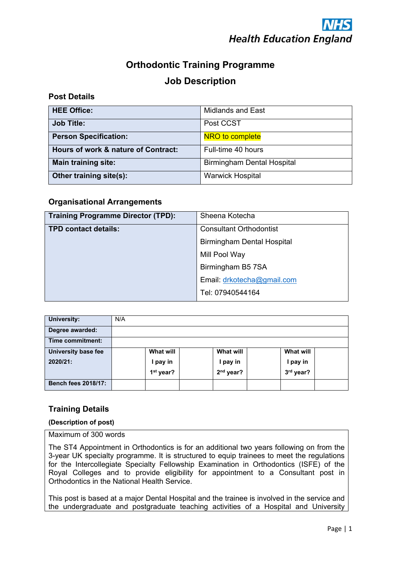

# **Orthodontic Training Programme Job Description**

# **Post Details**

| <b>HEE Office:</b>                  | <b>Midlands and East</b>          |
|-------------------------------------|-----------------------------------|
| <b>Job Title:</b>                   | Post CCST                         |
| <b>Person Specification:</b>        | NRO to complete                   |
| Hours of work & nature of Contract: | Full-time 40 hours                |
| <b>Main training site:</b>          | <b>Birmingham Dental Hospital</b> |
| Other training site(s):             | <b>Warwick Hospital</b>           |

# **Organisational Arrangements**

| <b>Training Programme Director (TPD):</b> | Sheena Kotecha                    |  |
|-------------------------------------------|-----------------------------------|--|
| <b>TPD contact details:</b>               | <b>Consultant Orthodontist</b>    |  |
|                                           | <b>Birmingham Dental Hospital</b> |  |
|                                           | Mill Pool Way                     |  |
|                                           | Birmingham B5 7SA                 |  |
|                                           | Email: drkotecha@gmail.com        |  |
|                                           | Tel: 07940544164                  |  |

| <b>University:</b>         | N/A                   |                  |                  |  |
|----------------------------|-----------------------|------------------|------------------|--|
| Degree awarded:            |                       |                  |                  |  |
| Time commitment:           |                       |                  |                  |  |
| <b>University base fee</b> | <b>What will</b>      | <b>What will</b> | <b>What will</b> |  |
| 2020/21:                   | l pay in              | I pay in         | I pay in         |  |
|                            | 1 <sup>st</sup> year? | $2nd$ year?      | 3rd year?        |  |
| <b>Bench fees 2018/17:</b> |                       |                  |                  |  |

# **Training Details**

#### **(Description of post)**

Maximum of 300 words

The ST4 Appointment in Orthodontics is for an additional two years following on from the 3-year UK specialty programme. It is structured to equip trainees to meet the regulations for the Intercollegiate Specialty Fellowship Examination in Orthodontics (ISFE) of the Royal Colleges and to provide eligibility for appointment to a Consultant post in Orthodontics in the National Health Service.

This post is based at a major Dental Hospital and the trainee is involved in the service and the undergraduate and postgraduate teaching activities of a Hospital and University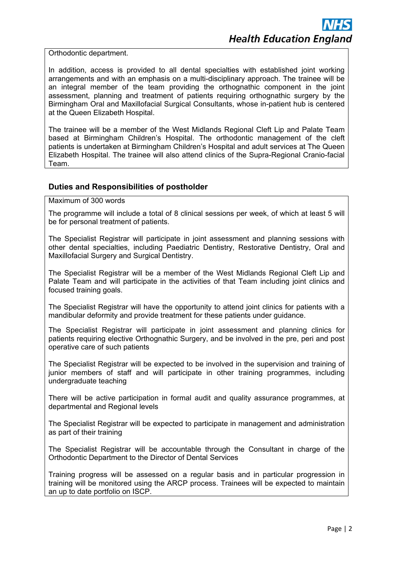Orthodontic department.

In addition, access is provided to all dental specialties with established joint working arrangements and with an emphasis on a multi-disciplinary approach. The trainee will be an integral member of the team providing the orthognathic component in the joint assessment, planning and treatment of patients requiring orthognathic surgery by the Birmingham Oral and Maxillofacial Surgical Consultants, whose in-patient hub is centered at the Queen Elizabeth Hospital.

The trainee will be a member of the West Midlands Regional Cleft Lip and Palate Team based at Birmingham Children's Hospital. The orthodontic management of the cleft patients is undertaken at Birmingham Children's Hospital and adult services at The Queen Elizabeth Hospital. The trainee will also attend clinics of the Supra-Regional Cranio-facial Team.

### **Duties and Responsibilities of postholder**

Maximum of 300 words

The programme will include a total of 8 clinical sessions per week, of which at least 5 will be for personal treatment of patients.

The Specialist Registrar will participate in joint assessment and planning sessions with other dental specialties, including Paediatric Dentistry, Restorative Dentistry, Oral and Maxillofacial Surgery and Surgical Dentistry.

The Specialist Registrar will be a member of the West Midlands Regional Cleft Lip and Palate Team and will participate in the activities of that Team including joint clinics and focused training goals.

The Specialist Registrar will have the opportunity to attend joint clinics for patients with a mandibular deformity and provide treatment for these patients under guidance.

The Specialist Registrar will participate in joint assessment and planning clinics for patients requiring elective Orthognathic Surgery, and be involved in the pre, peri and post operative care of such patients

The Specialist Registrar will be expected to be involved in the supervision and training of junior members of staff and will participate in other training programmes, including undergraduate teaching

There will be active participation in formal audit and quality assurance programmes, at departmental and Regional levels

The Specialist Registrar will be expected to participate in management and administration as part of their training

The Specialist Registrar will be accountable through the Consultant in charge of the Orthodontic Department to the Director of Dental Services

Training progress will be assessed on a regular basis and in particular progression in training will be monitored using the ARCP process. Trainees will be expected to maintain an up to date portfolio on ISCP.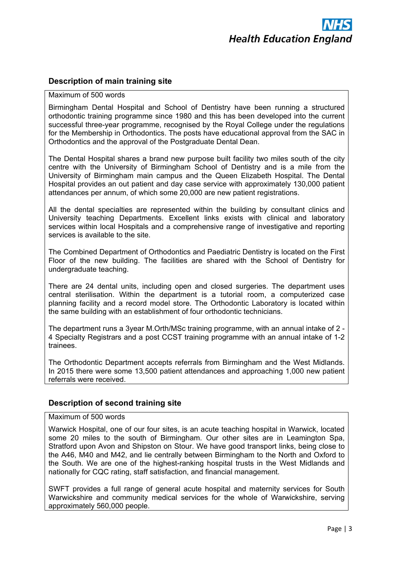# **Description of main training site**

## Maximum of 500 words

Birmingham Dental Hospital and School of Dentistry have been running a structured orthodontic training programme since 1980 and this has been developed into the current successful three-year programme, recognised by the Royal College under the regulations for the Membership in Orthodontics. The posts have educational approval from the SAC in Orthodontics and the approval of the Postgraduate Dental Dean.

The Dental Hospital shares a brand new purpose built facility two miles south of the city centre with the University of Birmingham School of Dentistry and is a mile from the University of Birmingham main campus and the Queen Elizabeth Hospital. The Dental Hospital provides an out patient and day case service with approximately 130,000 patient attendances per annum, of which some 20,000 are new patient registrations.

All the dental specialties are represented within the building by consultant clinics and University teaching Departments. Excellent links exists with clinical and laboratory services within local Hospitals and a comprehensive range of investigative and reporting services is available to the site.

The Combined Department of Orthodontics and Paediatric Dentistry is located on the First Floor of the new building. The facilities are shared with the School of Dentistry for undergraduate teaching.

There are 24 dental units, including open and closed surgeries. The department uses central sterilisation. Within the department is a tutorial room, a computerized case planning facility and a record model store. The Orthodontic Laboratory is located within the same building with an establishment of four orthodontic technicians.

The department runs a 3year M.Orth/MSc training programme, with an annual intake of 2 - 4 Specialty Registrars and a post CCST training programme with an annual intake of 1-2 trainees.

The Orthodontic Department accepts referrals from Birmingham and the West Midlands. In 2015 there were some 13,500 patient attendances and approaching 1,000 new patient referrals were received.

## **Description of second training site**

#### Maximum of 500 words

Warwick Hospital, one of our four sites, is an acute teaching hospital in Warwick, located some 20 miles to the south of Birmingham. Our other sites are in Leamington Spa, Stratford upon Avon and Shipston on Stour. We have good transport links, being close to the A46, M40 and M42, and lie centrally between Birmingham to the North and Oxford to the South. We are one of the highest-ranking hospital trusts in the West Midlands and nationally for CQC rating, staff satisfaction, and financial management.

SWFT provides a full range of general acute hospital and maternity services for South Warwickshire and community medical services for the whole of Warwickshire, serving approximately 560,000 people.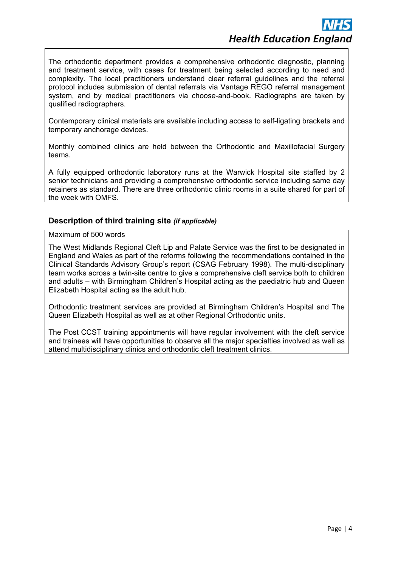The orthodontic department provides a comprehensive orthodontic diagnostic, planning and treatment service, with cases for treatment being selected according to need and complexity. The local practitioners understand clear referral guidelines and the referral protocol includes submission of dental referrals via Vantage REGO referral management system, and by medical practitioners via choose-and-book. Radiographs are taken by qualified radiographers.

Contemporary clinical materials are available including access to self-ligating brackets and temporary anchorage devices.

Monthly combined clinics are held between the Orthodontic and Maxillofacial Surgery teams.

A fully equipped orthodontic laboratory runs at the Warwick Hospital site staffed by 2 senior technicians and providing a comprehensive orthodontic service including same day retainers as standard. There are three orthodontic clinic rooms in a suite shared for part of the week with OMFS.

## **Description of third training site** *(if applicable)*

Maximum of 500 words

The West Midlands Regional Cleft Lip and Palate Service was the first to be designated in England and Wales as part of the reforms following the recommendations contained in the Clinical Standards Advisory Group's report (CSAG February 1998). The multi-disciplinary team works across a twin-site centre to give a comprehensive cleft service both to children and adults – with Birmingham Children's Hospital acting as the paediatric hub and Queen Elizabeth Hospital acting as the adult hub.

Orthodontic treatment services are provided at Birmingham Children's Hospital and The Queen Elizabeth Hospital as well as at other Regional Orthodontic units.

The Post CCST training appointments will have regular involvement with the cleft service and trainees will have opportunities to observe all the major specialties involved as well as attend multidisciplinary clinics and orthodontic cleft treatment clinics.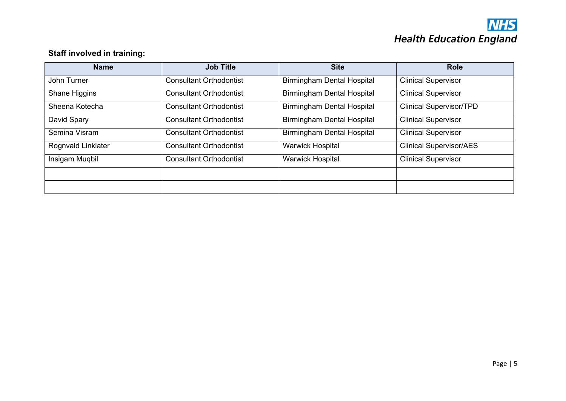

# **Staff involved in training:**

| <b>Name</b>        | <b>Job Title</b>               | <b>Site</b>                       | <b>Role</b>                    |
|--------------------|--------------------------------|-----------------------------------|--------------------------------|
| John Turner        | <b>Consultant Orthodontist</b> | <b>Birmingham Dental Hospital</b> | <b>Clinical Supervisor</b>     |
| Shane Higgins      | <b>Consultant Orthodontist</b> | <b>Birmingham Dental Hospital</b> | <b>Clinical Supervisor</b>     |
| Sheena Kotecha     | <b>Consultant Orthodontist</b> | <b>Birmingham Dental Hospital</b> | <b>Clinical Supervisor/TPD</b> |
| David Spary        | <b>Consultant Orthodontist</b> | <b>Birmingham Dental Hospital</b> | <b>Clinical Supervisor</b>     |
| Semina Visram      | <b>Consultant Orthodontist</b> | <b>Birmingham Dental Hospital</b> | <b>Clinical Supervisor</b>     |
| Rognvald Linklater | <b>Consultant Orthodontist</b> | <b>Warwick Hospital</b>           | <b>Clinical Supervisor/AES</b> |
| Insigam Muqbil     | <b>Consultant Orthodontist</b> | <b>Warwick Hospital</b>           | <b>Clinical Supervisor</b>     |
|                    |                                |                                   |                                |
|                    |                                |                                   |                                |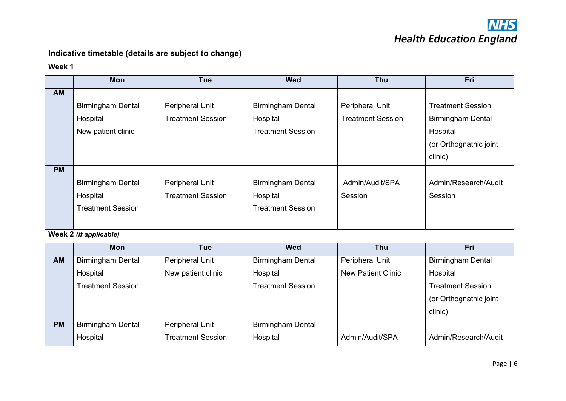

# **Indicative timetable (details are subject to change)**

#### **Week 1**

|           | Mon                      | <b>Tue</b>               | <b>Wed</b>               | <b>Thu</b>               | Fri                      |
|-----------|--------------------------|--------------------------|--------------------------|--------------------------|--------------------------|
| AM        |                          |                          |                          |                          |                          |
|           | <b>Birmingham Dental</b> | Peripheral Unit          | <b>Birmingham Dental</b> | Peripheral Unit          | <b>Treatment Session</b> |
|           | Hospital                 | <b>Treatment Session</b> | Hospital                 | <b>Treatment Session</b> | <b>Birmingham Dental</b> |
|           | New patient clinic       |                          | <b>Treatment Session</b> |                          | Hospital                 |
|           |                          |                          |                          |                          | (or Orthognathic joint   |
|           |                          |                          |                          |                          | clinic)                  |
| <b>PM</b> |                          |                          |                          |                          |                          |
|           | <b>Birmingham Dental</b> | Peripheral Unit          | <b>Birmingham Dental</b> | Admin/Audit/SPA          | Admin/Research/Audit     |
|           | Hospital                 | <b>Treatment Session</b> | Hospital                 | Session                  | Session                  |
|           | <b>Treatment Session</b> |                          | <b>Treatment Session</b> |                          |                          |
|           |                          |                          |                          |                          |                          |

# **Week 2** *(if applicable)*

|           | <b>Mon</b>               | Tue                      | <b>Wed</b>               | Thu                       | Fri                      |
|-----------|--------------------------|--------------------------|--------------------------|---------------------------|--------------------------|
| <b>AM</b> | <b>Birmingham Dental</b> | Peripheral Unit          | <b>Birmingham Dental</b> | Peripheral Unit           | <b>Birmingham Dental</b> |
|           | Hospital                 | New patient clinic       | Hospital                 | <b>New Patient Clinic</b> | Hospital                 |
|           | <b>Treatment Session</b> |                          | <b>Treatment Session</b> |                           | <b>Treatment Session</b> |
|           |                          |                          |                          |                           | (or Orthognathic joint   |
|           |                          |                          |                          |                           | clinic)                  |
| <b>PM</b> | <b>Birmingham Dental</b> | Peripheral Unit          | <b>Birmingham Dental</b> |                           |                          |
|           | Hospital                 | <b>Treatment Session</b> | Hospital                 | Admin/Audit/SPA           | Admin/Research/Audit     |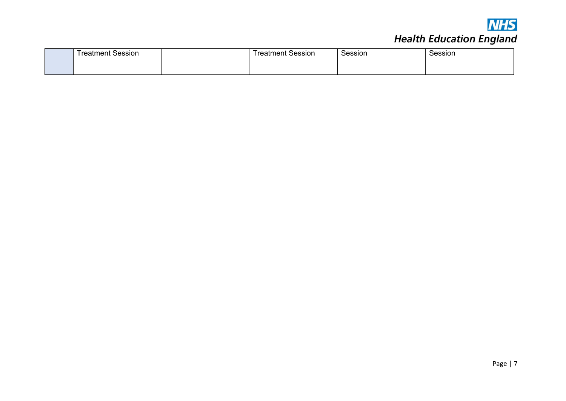

# **NHS**<br>Health Education England

| reatment Session<br>rootmaant L | reatment Session | Session | Session |
|---------------------------------|------------------|---------|---------|
|                                 |                  |         |         |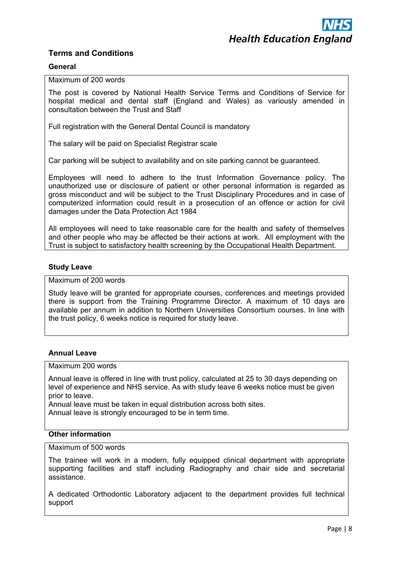# **Terms and Conditions**

#### **General**

Maximum of 200 words

The post is covered by National Health Service Terms and Conditions of Service for hospital medical and dental staff (England and Wales) as variously amended in consultation between the Trust and Staff

Full registration with the General Dental Council is mandatory

The salary will be paid on Specialist Registrar scale

Car parking will be subject to availability and on site parking cannot be guaranteed.

Employees will need to adhere to the trust Information Governance policy. The unauthorized use or disclosure of patient or other personal information is regarded as gross misconduct and will be subject to the Trust Disciplinary Procedures and in case of computerized information could result in a prosecution of an offence or action for civil damages under the Data Protection Act 1984

All employees will need to take reasonable care for the health and safety of themselves and other people who may be affected be their actions at work. All employment with the Trust is subject to satisfactory health screening by the Occupational Health Department.

#### **Study Leave**

#### Maximum of 200 words

Study leave will be granted for appropriate courses, conferences and meetings provided there is support from the Training Programme Director. A maximum of 10 days are available per annum in addition to Northern Universities Consortium courses. In line with the trust policy, 6 weeks notice is required for study leave.

#### **Annual Leave**

# Maximum 200 words

Annual leave is offered in line with trust policy, calculated at 25 to 30 days depending on level of experience and NHS service. As with study leave 6 weeks notice must be given prior to leave.

Annual leave must be taken in equal distribution across both sites. Annual leave is strongly encouraged to be in term time.

#### **Other information**

#### Maximum of 500 words

The trainee will work in a modern, fully equipped clinical department with appropriate supporting facilities and staff including Radiography and chair side and secretarial assistance.

A dedicated Orthodontic Laboratory adjacent to the department provides full technical support